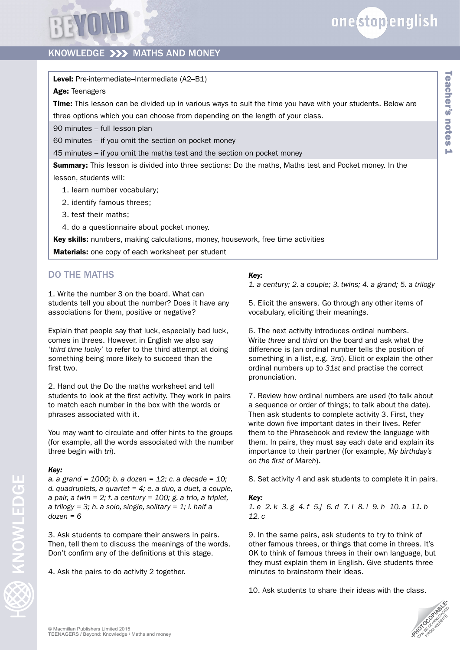Level: Pre-intermediate–Intermediate (A2-B1)

#### Age: Teenagers

**Time:** This lesson can be divided up in various ways to suit the time you have with your students. Below are

three options which you can choose from depending on the length of your class.

90 minutes – full lesson plan

60 minutes – if you omit the section on pocket money

45 minutes – if you omit the maths test and the section on pocket money

**Summary:** This lesson is divided into three sections: Do the maths, Maths test and Pocket money. In the lesson, students will:

- 1. learn number vocabulary;
- 2. identify famous threes;
- 3. test their maths;
- 4. do a questionnaire about pocket money.

Key skills: numbers, making calculations, money, housework, free time activities

Materials: one copy of each worksheet per student

# DO THE MATHS

1. Write the number 3 on the board. What can students tell you about the number? Does it have any associations for them, positive or negative?

Explain that people say that luck, especially bad luck, comes in threes. However, in English we also say '*third time lucky*' to refer to the third attempt at doing something being more likely to succeed than the first two.

2. Hand out the Do the maths worksheet and tell students to look at the first activity. They work in pairs to match each number in the box with the words or phrases associated with it.

You may want to circulate and offer hints to the groups (for example, all the words associated with the number three begin with *tri*).

#### *Key:*

*a. a grand = 1000; b. a dozen = 12; c. a decade = 10; d. quadruplets, a quartet = 4; e. a duo, a duet, a couple, a pair, a twin = 2; f. a century = 100; g. a trio, a triplet, a trilogy = 3; h. a solo, single, solitary = 1; i. half a dozen = 6*

3. Ask students to compare their answers in pairs. Then, tell them to discuss the meanings of the words. Don't confirm any of the definitions at this stage.

4. Ask the pairs to do activity 2 together.

## *Key:*

*1. a century; 2. a couple; 3. twins; 4. a grand; 5. a trilogy*

5. Elicit the answers. Go through any other items of vocabulary, eliciting their meanings.

6. The next activity introduces ordinal numbers. Write *three* and *third* on the board and ask what the difference is (an ordinal number tells the position of something in a list, e.g. *3rd*). Elicit or explain the other ordinal numbers up to *31st* and practise the correct pronunciation.

7. Review how ordinal numbers are used (to talk about a sequence or order of things; to talk about the date). Then ask students to complete activity 3. First, they write down five important dates in their lives. Refer them to the Phrasebook and review the language with them. In pairs, they must say each date and explain its importance to their partner (for example, *My birthday's on the first of March*).

8. Set activity 4 and ask students to complete it in pairs.

#### *Key:*

*1. e 2. k 3. g 4. f 5.j 6. d 7. l 8. i 9. h 10. a 11. b 12. c* 

9. In the same pairs, ask students to try to think of other famous threes, or things that come in threes. It's OK to think of famous threes in their own language, but they must explain them in English. Give students three minutes to brainstorm their ideas.

10. Ask students to share their ideas with the class.

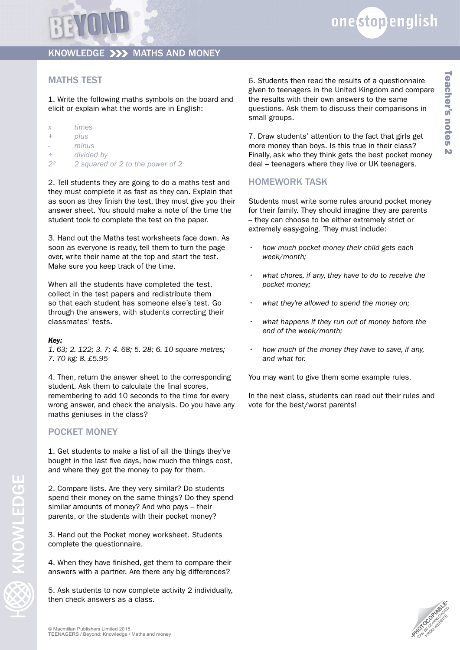#### MATHS TEST

1. Write the following maths symbols on the board and elicit or explain what the words are in English:

- *x times*
- *+ plus*
- *minus*
- *÷ divided by*
- *2² 2 squared or 2 to the power of 2*

2. Tell students they are going to do a maths test and they must complete it as fast as they can. Explain that as soon as they finish the test, they must give you their answer sheet. You should make a note of the time the student took to complete the test on the paper.

3. Hand out the Maths test worksheets face down. As soon as everyone is ready, tell them to turn the page over, write their name at the top and start the test. Make sure you keep track of the time.

When all the students have completed the test. collect in the test papers and redistribute them so that each student has someone else's test. Go through the answers, with students correcting their classmates' tests.

#### *Key:*

KNOWLEDGE

**EDGE**<br>
KNOWLEDGE

*1. 63; 2. 122; 3. 7; 4. 68; 5. 28; 6. 10 square metres; 7. 70 kg; 8. £5.95*

4. Then, return the answer sheet to the corresponding student. Ask them to calculate the final scores, remembering to add 10 seconds to the time for every wrong answer, and check the analysis. Do you have any maths geniuses in the class?

### POCKET MONEY

1. Get students to make a list of all the things they've bought in the last five days, how much the things cost, and where they got the money to pay for them.

2. Compare lists. Are they very similar? Do students spend their money on the same things? Do they spend similar amounts of money? And who pays – their parents, or the students with their pocket money?

3. Hand out the Pocket money worksheet. Students complete the questionnaire.

4. When they have finished, get them to compare their answers with a partner. Are there any big differences?

5. Ask students to now complete activity 2 individually, then check answers as a class.

6. Students then read the results of a questionnaire given to teenagers in the United Kingdom and compare the results with their own answers to the same questions. Ask them to discuss their comparisons in small groups.

onestopenglish

7. Draw students' attention to the fact that girls get more money than boys. Is this true in their class? Finally, ask who they think gets the best pocket money deal – teenagers where they live or UK teenagers.

## HOMEWORK TASK

Students must write some rules around pocket money for their family. They should imagine they are parents – they can choose to be either extremely strict or extremely easy-going. They must include:

- *• how much pocket money their child gets each week/month;*
- *• what chores, if any, they have to do to receive the pocket money;*
- *• what they're allowed to spend the money on;*
- *• what happens if they run out of money before the end of the week/month;*
- *• how much of the money they have to save, if any, and what for.*

You may want to give them some example rules.

In the next class, students can read out their rules and vote for the best/worst parents!

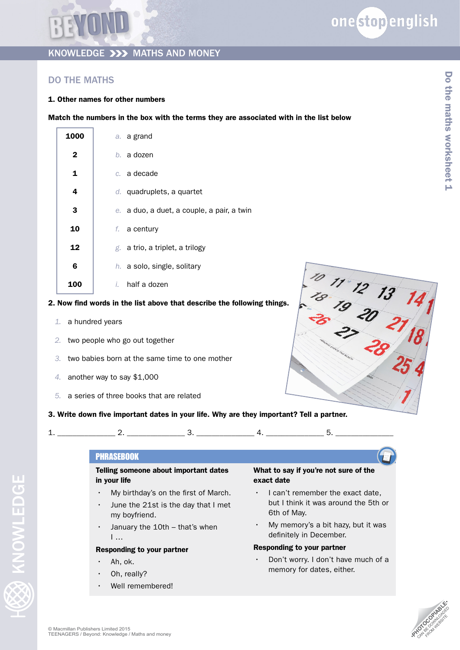## DO THE MATHS

#### 1. Other names for other numbers

Match the numbers in the box with the terms they are associated with in the list below

| 1000       | a. a grand                                 |
|------------|--------------------------------------------|
| 2          | b. a dozen                                 |
| 1          | c. a decade                                |
| 4          | $d.$ quadruplets, a quartet                |
| 3          | e. a duo, a duet, a couple, a pair, a twin |
| 10         | $f.$ a century                             |
| 12         | g. a trio, a triplet, a trilogy            |
| 6          | h. a solo, single, solitary                |
| <b>100</b> | half a dozen<br>i.                         |

#### 2. Now find words in the list above that describe the following things.

- *1.* a hundred years
- *2.* two people who go out together
- *3.* two babies born at the same time to one mother
- *4.* another way to say \$1,000
- *5.* a series of three books that are related
- 3. Write down five important dates in your life. Why are they important? Tell a partner.

1. 2. 2. 3. 4. 5.



### **PHRASEBOOK**

Telling someone about important dates in your life

- My birthday's on the first of March.
- June the 21st is the day that I met my boyfriend.
- January the 10th that's when I …

#### Responding to your partner

- Ah, ok.
- Oh, really?
- Well remembered!

#### What to say if you're not sure of the exact date

- I can't remember the exact date, but I think it was around the 5th or 6th of May.
- My memory's a bit hazy, but it was definitely in December.

#### Responding to your partner

• Don't worry. I don't have much of a memory for dates, either.



Do the maths worksheet 1

the maths worksheet 1

DO

KNOWLEDGE

**KKY KNOWLEDG** 

U.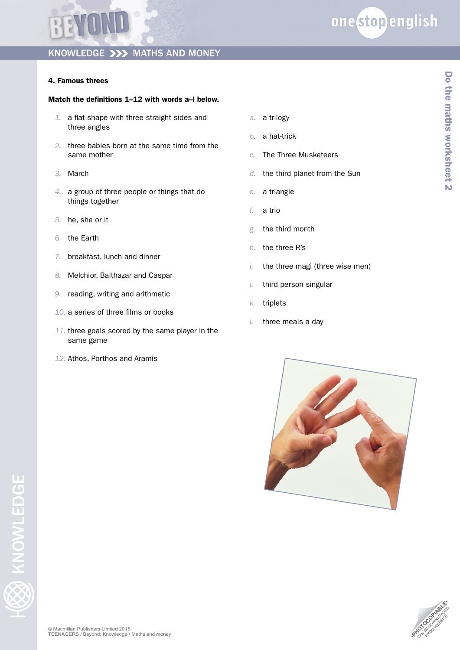

#### 4. Famous threes

#### Match the definitions 1–12 with words a–l below.

- *1.* a flat shape with three straight sides and three angles
- *2.* three babies born at the same time from the same mother
- *3.* March
- *4.* a group of three people or things that do things together
- *5.* he, she or it
- *6.* the Earth
- *7.* breakfast, lunch and dinner
- *8.* Melchior, Balthazar and Caspar
- *9.* reading, writing and arithmetic
- *10.* a series of three films or books
- *11.* three goals scored by the same player in the same game
- *12.* Athos, Porthos and Aramis
- *a.* a trilogy
- *b.* a hat-trick
- *c.* The Three Musketeers
- *d.* the third planet from the Sun
- *e.* a triangle
- *f.* a trio
- *g.* the third month
- *h.* the three R's
- *i.* the three magi (three wise men)
- *j.* third person singular
- *k.* triplets
- *l.* three meals a day





Do the maths worksheet 2 Do the maths worksheet 2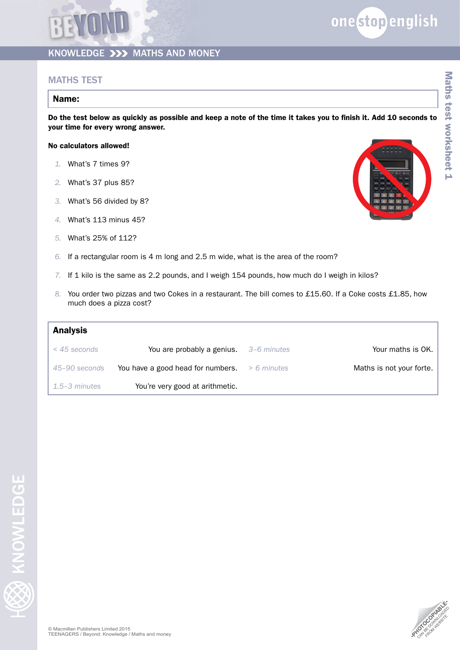### MATHS TEST

#### Name:

Do the test below as quickly as possible and keep a note of the time it takes you to finish it. Add 10 seconds to your time for every wrong answer.

#### No calculators allowed!

- *1.* What's 7 times 9?
- *2.* What's 37 plus 85?
- *3.* What's 56 divided by 8?
- *4.* What's 113 minus 45?
- *5.* What's 25% of 112?
- *6.* If a rectangular room is 4 m long and 2.5 m wide, what is the area of the room?
- *7.* If 1 kilo is the same as 2.2 pounds, and I weigh 154 pounds, how much do I weigh in kilos?
- *8.* You order two pizzas and two Cokes in a restaurant. The bill comes to £15.60. If a Coke costs £1.85, how much does a pizza cost?

| <b>Analysis</b>   |                                                 |                          |
|-------------------|-------------------------------------------------|--------------------------|
| $<$ 45 seconds    | You are probably a genius. $3-6$ minutes        | Your maths is OK.        |
| 45–90 seconds     | You have a good head for numbers. $> 6$ minutes | Maths is not your forte. |
| $1.5 - 3$ minutes | You're very good at arithmetic.                 |                          |